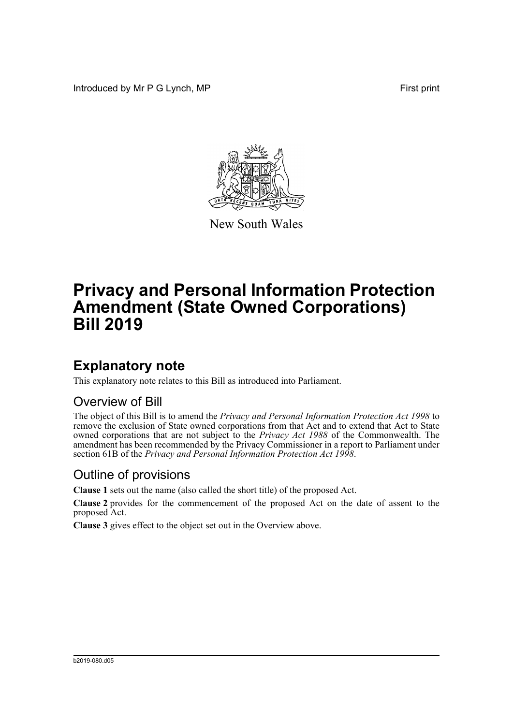Introduced by Mr P G Lynch, MP First print



New South Wales

# **Privacy and Personal Information Protection Amendment (State Owned Corporations) Bill 2019**

## **Explanatory note**

This explanatory note relates to this Bill as introduced into Parliament.

#### Overview of Bill

The object of this Bill is to amend the *Privacy and Personal Information Protection Act 1998* to remove the exclusion of State owned corporations from that Act and to extend that Act to State owned corporations that are not subject to the *Privacy Act 1988* of the Commonwealth. The amendment has been recommended by the Privacy Commissioner in a report to Parliament under section 61B of the *Privacy and Personal Information Protection Act 1998*.

#### Outline of provisions

**Clause 1** sets out the name (also called the short title) of the proposed Act.

**Clause 2** provides for the commencement of the proposed Act on the date of assent to the proposed Act.

**Clause 3** gives effect to the object set out in the Overview above.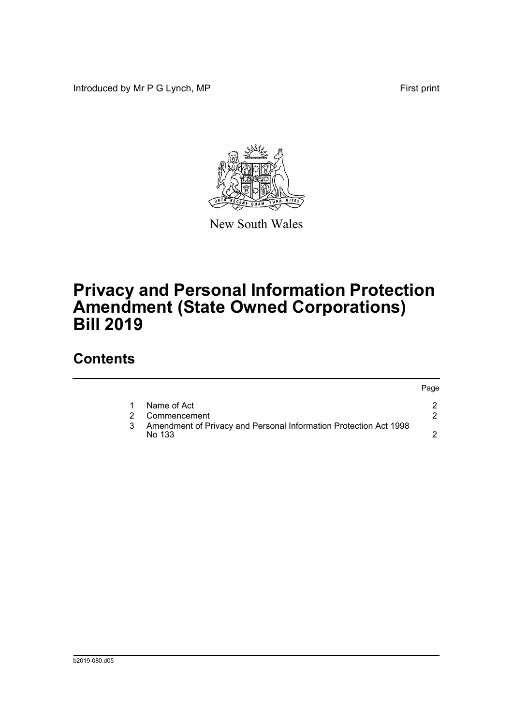Introduced by Mr P G Lynch, MP First print

Page



New South Wales

# **Privacy and Personal Information Protection Amendment (State Owned Corporations) Bill 2019**

### **Contents**

|   |                                                                             | Page. |
|---|-----------------------------------------------------------------------------|-------|
|   | Name of Act                                                                 |       |
| 2 | Commencement                                                                |       |
| 3 | Amendment of Privacy and Personal Information Protection Act 1998<br>No 133 |       |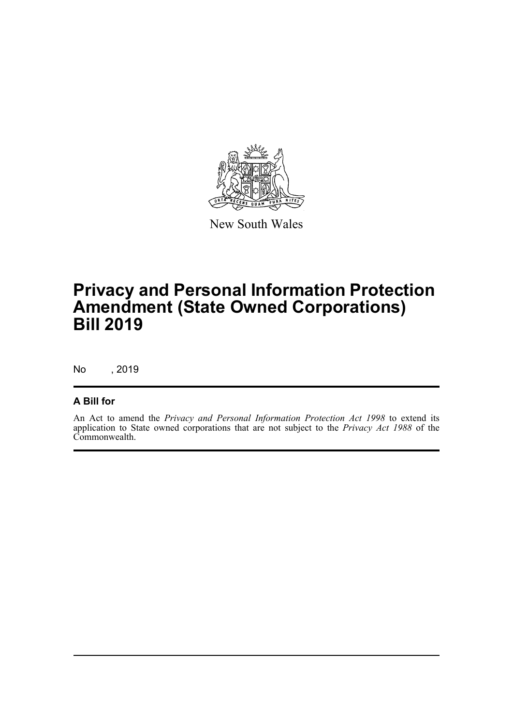

New South Wales

## **Privacy and Personal Information Protection Amendment (State Owned Corporations) Bill 2019**

No , 2019

#### **A Bill for**

An Act to amend the *Privacy and Personal Information Protection Act 1998* to extend its application to State owned corporations that are not subject to the *Privacy Act 1988* of the Commonwealth.